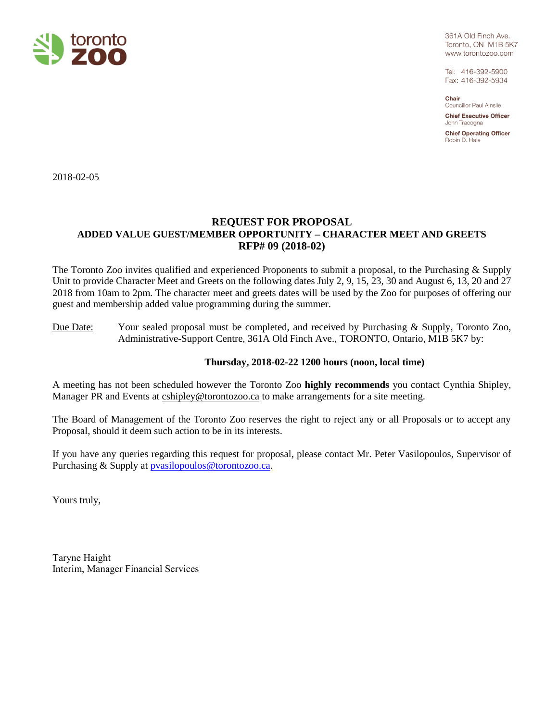

361A Old Finch Ave. Toronto, ON M1B 5K7 www.torontozoo.com

Tel: 416-392-5900 Fax: 416-392-5934

Chair **Councillor Paul Ainslie** 

**Chief Executive Officer** John Tracogna

**Chief Operating Officer** Robin D. Hale

2018-02-05

# **REQUEST FOR PROPOSAL ADDED VALUE GUEST/MEMBER OPPORTUNITY – CHARACTER MEET AND GREETS RFP# 09 (2018-02)**

The Toronto Zoo invites qualified and experienced Proponents to submit a proposal, to the Purchasing & Supply Unit to provide Character Meet and Greets on the following dates July 2, 9, 15, 23, 30 and August 6, 13, 20 and 27 2018 from 10am to 2pm. The character meet and greets dates will be used by the Zoo for purposes of offering our guest and membership added value programming during the summer.

Due Date: Your sealed proposal must be completed, and received by Purchasing & Supply, Toronto Zoo, Administrative-Support Centre, 361A Old Finch Ave., TORONTO, Ontario, M1B 5K7 by:

# **Thursday, 2018-02-22 1200 hours (noon, local time)**

A meeting has not been scheduled however the Toronto Zoo **highly recommends** you contact Cynthia Shipley, Manager PR and Events at cshipley@torontozoo.ca to make arrangements for a site meeting.

The Board of Management of the Toronto Zoo reserves the right to reject any or all Proposals or to accept any Proposal, should it deem such action to be in its interests.

If you have any queries regarding this request for proposal, please contact Mr. Peter Vasilopoulos, Supervisor of Purchasing & Supply at **pvasilopoulos@torontozoo.ca.** 

Yours truly,

Taryne Haight Interim, Manager Financial Services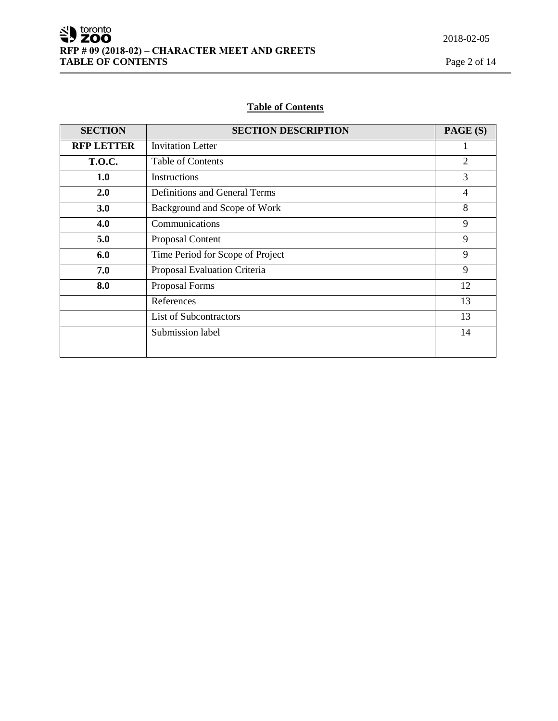# **Table of Contents**

| <b>SECTION</b>    | <b>SECTION DESCRIPTION</b>       | PAGE (S)       |
|-------------------|----------------------------------|----------------|
| <b>RFP LETTER</b> | <b>Invitation Letter</b>         |                |
| <b>T.O.C.</b>     | <b>Table of Contents</b>         | $\overline{2}$ |
| 1.0               | Instructions                     | 3              |
| 2.0               | Definitions and General Terms    | 4              |
| 3.0               | Background and Scope of Work     | 8              |
| 4.0               | Communications                   | 9              |
| 5.0               | Proposal Content                 | 9              |
| 6.0               | Time Period for Scope of Project | 9              |
| 7.0               | Proposal Evaluation Criteria     | 9              |
| 8.0               | Proposal Forms                   | 12             |
|                   | References                       | 13             |
|                   | List of Subcontractors           | 13             |
|                   | Submission label                 | 14             |
|                   |                                  |                |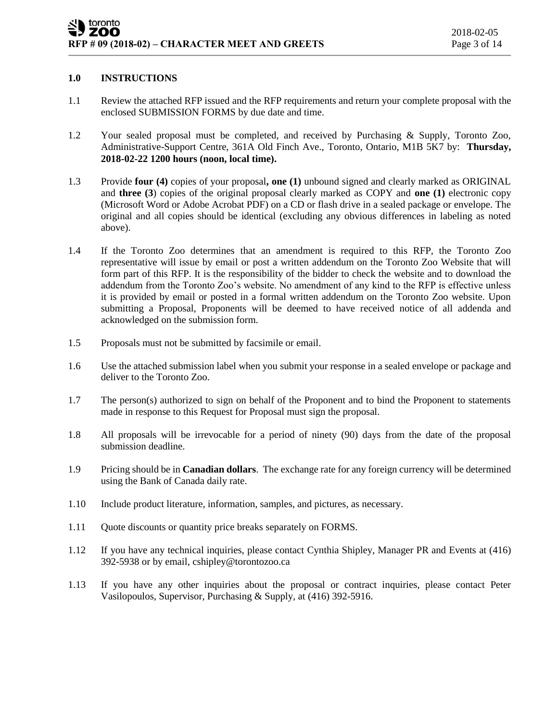# **1.0 INSTRUCTIONS**

- 1.1 Review the attached RFP issued and the RFP requirements and return your complete proposal with the enclosed SUBMISSION FORMS by due date and time.
- 1.2 Your sealed proposal must be completed, and received by Purchasing & Supply, Toronto Zoo, Administrative-Support Centre, 361A Old Finch Ave., Toronto, Ontario, M1B 5K7 by: **Thursday, 2018-02-22 1200 hours (noon, local time).**
- 1.3 Provide **four (4)** copies of your proposal**, one (1)** unbound signed and clearly marked as ORIGINAL and **three (3**) copies of the original proposal clearly marked as COPY and **one (1)** electronic copy (Microsoft Word or Adobe Acrobat PDF) on a CD or flash drive in a sealed package or envelope. The original and all copies should be identical (excluding any obvious differences in labeling as noted above).
- 1.4 If the Toronto Zoo determines that an amendment is required to this RFP, the Toronto Zoo representative will issue by email or post a written addendum on the Toronto Zoo Website that will form part of this RFP. It is the responsibility of the bidder to check the website and to download the addendum from the Toronto Zoo's website. No amendment of any kind to the RFP is effective unless it is provided by email or posted in a formal written addendum on the Toronto Zoo website. Upon submitting a Proposal, Proponents will be deemed to have received notice of all addenda and acknowledged on the submission form.
- 1.5 Proposals must not be submitted by facsimile or email.
- 1.6 Use the attached submission label when you submit your response in a sealed envelope or package and deliver to the Toronto Zoo.
- 1.7 The person(s) authorized to sign on behalf of the Proponent and to bind the Proponent to statements made in response to this Request for Proposal must sign the proposal.
- 1.8 All proposals will be irrevocable for a period of ninety (90) days from the date of the proposal submission deadline.
- 1.9 Pricing should be in **Canadian dollars**. The exchange rate for any foreign currency will be determined using the Bank of Canada daily rate.
- 1.10 Include product literature, information, samples, and pictures, as necessary.
- 1.11 Quote discounts or quantity price breaks separately on FORMS.
- 1.12 If you have any technical inquiries, please contact Cynthia Shipley, Manager PR and Events at (416) 392-5938 or by email, cshipley@torontozoo.ca
- 1.13 If you have any other inquiries about the proposal or contract inquiries, please contact Peter Vasilopoulos, Supervisor, Purchasing & Supply, at (416) 392-5916.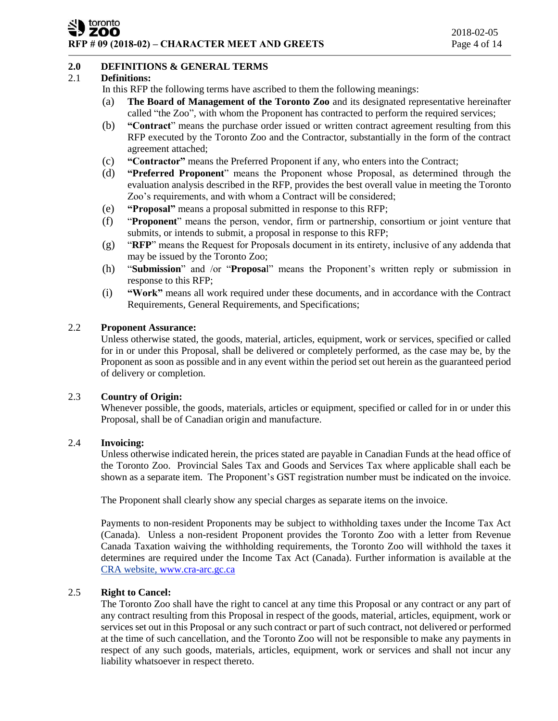#### toronto ZOO **RFP # 09 (2018-02) – CHARACTER MEET AND GREETS** Page 4 of 14

# **2.0 DEFINITIONS & GENERAL TERMS**

# 2.1 **Definitions:**

In this RFP the following terms have ascribed to them the following meanings:

- (a) **The Board of Management of the Toronto Zoo** and its designated representative hereinafter called "the Zoo", with whom the Proponent has contracted to perform the required services;
- (b) **"Contract**" means the purchase order issued or written contract agreement resulting from this RFP executed by the Toronto Zoo and the Contractor, substantially in the form of the contract agreement attached;
- (c) **"Contractor"** means the Preferred Proponent if any, who enters into the Contract;
- (d) **"Preferred Proponent**" means the Proponent whose Proposal, as determined through the evaluation analysis described in the RFP, provides the best overall value in meeting the Toronto Zoo's requirements, and with whom a Contract will be considered;
- (e) **"Proposal"** means a proposal submitted in response to this RFP;
- (f) "**Proponent**" means the person, vendor, firm or partnership, consortium or joint venture that submits, or intends to submit, a proposal in response to this RFP;
- (g) "**RFP**" means the Request for Proposals document in its entirety, inclusive of any addenda that may be issued by the Toronto Zoo;
- (h) "**Submission**" and /or "**Proposa**l" means the Proponent's written reply or submission in response to this RFP;
- (i) **"Work"** means all work required under these documents, and in accordance with the Contract Requirements, General Requirements, and Specifications;

## 2.2 **Proponent Assurance:**

Unless otherwise stated, the goods, material, articles, equipment, work or services, specified or called for in or under this Proposal, shall be delivered or completely performed, as the case may be, by the Proponent as soon as possible and in any event within the period set out herein as the guaranteed period of delivery or completion.

#### 2.3 **Country of Origin:**

Whenever possible, the goods, materials, articles or equipment, specified or called for in or under this Proposal, shall be of Canadian origin and manufacture.

#### 2.4 **Invoicing:**

Unless otherwise indicated herein, the prices stated are payable in Canadian Funds at the head office of the Toronto Zoo. Provincial Sales Tax and Goods and Services Tax where applicable shall each be shown as a separate item. The Proponent's GST registration number must be indicated on the invoice.

The Proponent shall clearly show any special charges as separate items on the invoice.

Payments to non-resident Proponents may be subject to withholding taxes under the Income Tax Act (Canada). Unless a non-resident Proponent provides the Toronto Zoo with a letter from Revenue Canada Taxation waiving the withholding requirements, the Toronto Zoo will withhold the taxes it determines are required under the Income Tax Act (Canada). Further information is available at the CRA website, [www.cra-arc.gc.ca](http://www.cra-arc.gc.ca/)

# 2.5 **Right to Cancel:**

The Toronto Zoo shall have the right to cancel at any time this Proposal or any contract or any part of any contract resulting from this Proposal in respect of the goods, material, articles, equipment, work or services set out in this Proposal or any such contract or part of such contract, not delivered or performed at the time of such cancellation, and the Toronto Zoo will not be responsible to make any payments in respect of any such goods, materials, articles, equipment, work or services and shall not incur any liability whatsoever in respect thereto.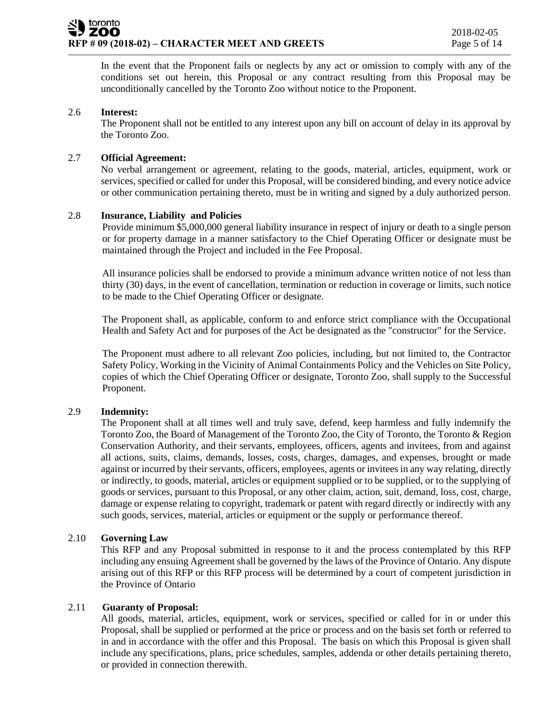In the event that the Proponent fails or neglects by any act or omission to comply with any of the conditions set out herein, this Proposal or any contract resulting from this Proposal may be unconditionally cancelled by the Toronto Zoo without notice to the Proponent.

## 2.6 **Interest:**

The Proponent shall not be entitled to any interest upon any bill on account of delay in its approval by the Toronto Zoo.

# 2.7 **Official Agreement:**

No verbal arrangement or agreement, relating to the goods, material, articles, equipment, work or services, specified or called for under this Proposal, will be considered binding, and every notice advice or other communication pertaining thereto, must be in writing and signed by a duly authorized person.

## 2.8 **Insurance, Liability and Policies**

Provide minimum \$5,000,000 general liability insurance in respect of injury or death to a single person or for property damage in a manner satisfactory to the Chief Operating Officer or designate must be maintained through the Project and included in the Fee Proposal.

All insurance policies shall be endorsed to provide a minimum advance written notice of not less than thirty (30) days, in the event of cancellation, termination or reduction in coverage or limits, such notice to be made to the Chief Operating Officer or designate.

The Proponent shall, as applicable, conform to and enforce strict compliance with the Occupational Health and Safety Act and for purposes of the Act be designated as the "constructor" for the Service.

The Proponent must adhere to all relevant Zoo policies, including, but not limited to, the Contractor Safety Policy, Working in the Vicinity of Animal Containments Policy and the Vehicles on Site Policy, copies of which the Chief Operating Officer or designate, Toronto Zoo, shall supply to the Successful Proponent.

#### 2.9 **Indemnity:**

The Proponent shall at all times well and truly save, defend, keep harmless and fully indemnify the Toronto Zoo, the Board of Management of the Toronto Zoo, the City of Toronto, the Toronto & Region Conservation Authority, and their servants, employees, officers, agents and invitees, from and against all actions, suits, claims, demands, losses, costs, charges, damages, and expenses, brought or made against or incurred by their servants, officers, employees, agents or invitees in any way relating, directly or indirectly, to goods, material, articles or equipment supplied or to be supplied, or to the supplying of goods or services, pursuant to this Proposal, or any other claim, action, suit, demand, loss, cost, charge, damage or expense relating to copyright, trademark or patent with regard directly or indirectly with any such goods, services, material, articles or equipment or the supply or performance thereof.

# 2.10 **Governing Law**

This RFP and any Proposal submitted in response to it and the process contemplated by this RFP including any ensuing Agreement shall be governed by the laws of the Province of Ontario. Any dispute arising out of this RFP or this RFP process will be determined by a court of competent jurisdiction in the Province of Ontario

#### 2.11 **Guaranty of Proposal:**

All goods, material, articles, equipment, work or services, specified or called for in or under this Proposal, shall be supplied or performed at the price or process and on the basis set forth or referred to in and in accordance with the offer and this Proposal. The basis on which this Proposal is given shall include any specifications, plans, price schedules, samples, addenda or other details pertaining thereto, or provided in connection therewith.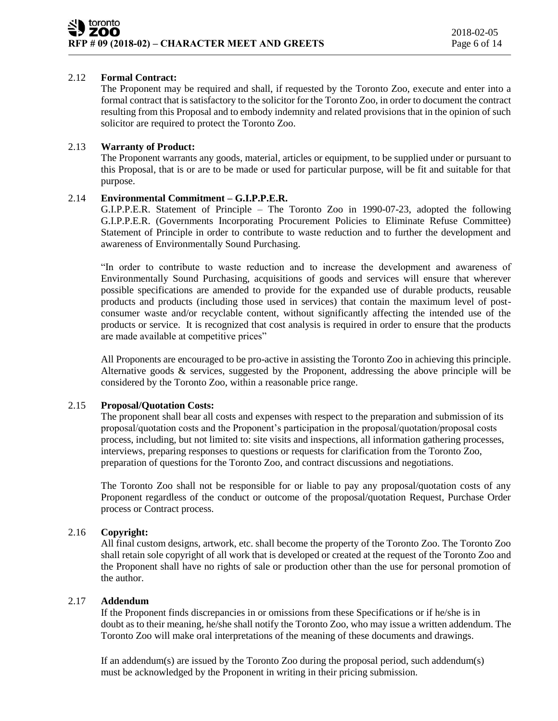# 2.12 **Formal Contract:**

The Proponent may be required and shall, if requested by the Toronto Zoo, execute and enter into a formal contract that is satisfactory to the solicitor for the Toronto Zoo, in order to document the contract resulting from this Proposal and to embody indemnity and related provisions that in the opinion of such solicitor are required to protect the Toronto Zoo.

# 2.13 **Warranty of Product:**

The Proponent warrants any goods, material, articles or equipment, to be supplied under or pursuant to this Proposal, that is or are to be made or used for particular purpose, will be fit and suitable for that purpose.

## 2.14 **Environmental Commitment – G.I.P.P.E.R.**

G.I.P.P.E.R. Statement of Principle – The Toronto Zoo in 1990-07-23, adopted the following G.I.P.P.E.R. (Governments Incorporating Procurement Policies to Eliminate Refuse Committee) Statement of Principle in order to contribute to waste reduction and to further the development and awareness of Environmentally Sound Purchasing.

"In order to contribute to waste reduction and to increase the development and awareness of Environmentally Sound Purchasing, acquisitions of goods and services will ensure that wherever possible specifications are amended to provide for the expanded use of durable products, reusable products and products (including those used in services) that contain the maximum level of postconsumer waste and/or recyclable content, without significantly affecting the intended use of the products or service. It is recognized that cost analysis is required in order to ensure that the products are made available at competitive prices"

All Proponents are encouraged to be pro-active in assisting the Toronto Zoo in achieving this principle. Alternative goods & services, suggested by the Proponent, addressing the above principle will be considered by the Toronto Zoo, within a reasonable price range.

# 2.15 **Proposal/Quotation Costs:**

The proponent shall bear all costs and expenses with respect to the preparation and submission of its proposal/quotation costs and the Proponent's participation in the proposal/quotation/proposal costs process, including, but not limited to: site visits and inspections, all information gathering processes, interviews, preparing responses to questions or requests for clarification from the Toronto Zoo, preparation of questions for the Toronto Zoo, and contract discussions and negotiations.

The Toronto Zoo shall not be responsible for or liable to pay any proposal/quotation costs of any Proponent regardless of the conduct or outcome of the proposal/quotation Request, Purchase Order process or Contract process.

# 2.16 **Copyright:**

All final custom designs, artwork, etc. shall become the property of the Toronto Zoo. The Toronto Zoo shall retain sole copyright of all work that is developed or created at the request of the Toronto Zoo and the Proponent shall have no rights of sale or production other than the use for personal promotion of the author.

# 2.17 **Addendum**

If the Proponent finds discrepancies in or omissions from these Specifications or if he/she is in doubt as to their meaning, he/she shall notify the Toronto Zoo, who may issue a written addendum. The Toronto Zoo will make oral interpretations of the meaning of these documents and drawings.

If an addendum(s) are issued by the Toronto Zoo during the proposal period, such addendum(s) must be acknowledged by the Proponent in writing in their pricing submission.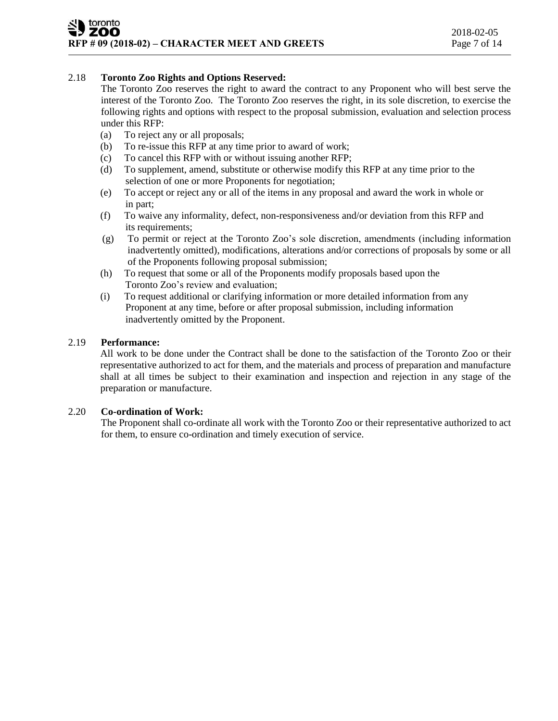# 2.18 **Toronto Zoo Rights and Options Reserved:**

The Toronto Zoo reserves the right to award the contract to any Proponent who will best serve the interest of the Toronto Zoo. The Toronto Zoo reserves the right, in its sole discretion, to exercise the following rights and options with respect to the proposal submission, evaluation and selection process under this RFP:

- (a) To reject any or all proposals;
- (b) To re-issue this RFP at any time prior to award of work;
- (c) To cancel this RFP with or without issuing another RFP;
- (d) To supplement, amend, substitute or otherwise modify this RFP at any time prior to the selection of one or more Proponents for negotiation;
- (e) To accept or reject any or all of the items in any proposal and award the work in whole or in part;
- (f) To waive any informality, defect, non-responsiveness and/or deviation from this RFP and its requirements;
- (g) To permit or reject at the Toronto Zoo's sole discretion, amendments (including information inadvertently omitted), modifications, alterations and/or corrections of proposals by some or all of the Proponents following proposal submission;
- (h) To request that some or all of the Proponents modify proposals based upon the Toronto Zoo's review and evaluation;
- (i) To request additional or clarifying information or more detailed information from any Proponent at any time, before or after proposal submission, including information inadvertently omitted by the Proponent.

# 2.19 **Performance:**

All work to be done under the Contract shall be done to the satisfaction of the Toronto Zoo or their representative authorized to act for them, and the materials and process of preparation and manufacture shall at all times be subject to their examination and inspection and rejection in any stage of the preparation or manufacture.

# 2.20 **Co-ordination of Work:**

The Proponent shall co-ordinate all work with the Toronto Zoo or their representative authorized to act for them, to ensure co-ordination and timely execution of service.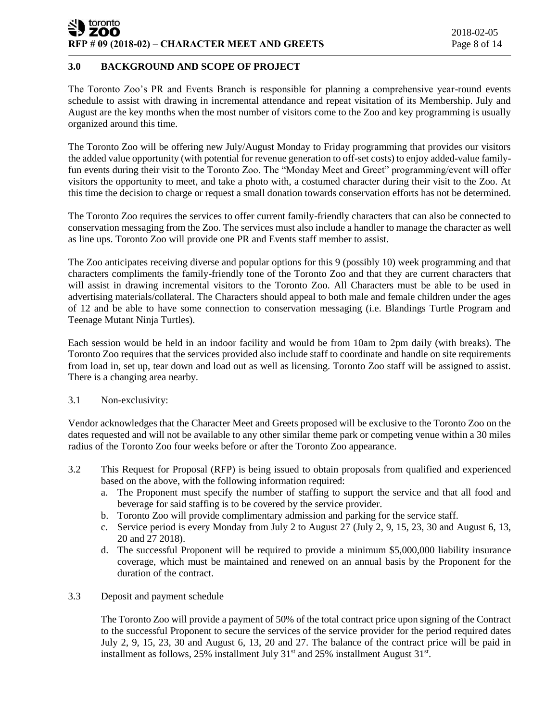#### toronto **ZOO RFP # 09 (2018-02) – CHARACTER MEET AND GREETS** Page 8 of 14

# **3.0 BACKGROUND AND SCOPE OF PROJECT**

The Toronto Zoo's PR and Events Branch is responsible for planning a comprehensive year-round events schedule to assist with drawing in incremental attendance and repeat visitation of its Membership. July and August are the key months when the most number of visitors come to the Zoo and key programming is usually organized around this time.

The Toronto Zoo will be offering new July/August Monday to Friday programming that provides our visitors the added value opportunity (with potential for revenue generation to off-set costs) to enjoy added-value familyfun events during their visit to the Toronto Zoo. The "Monday Meet and Greet" programming/event will offer visitors the opportunity to meet, and take a photo with, a costumed character during their visit to the Zoo. At this time the decision to charge or request a small donation towards conservation efforts has not be determined.

The Toronto Zoo requires the services to offer current family-friendly characters that can also be connected to conservation messaging from the Zoo. The services must also include a handler to manage the character as well as line ups. Toronto Zoo will provide one PR and Events staff member to assist.

The Zoo anticipates receiving diverse and popular options for this 9 (possibly 10) week programming and that characters compliments the family-friendly tone of the Toronto Zoo and that they are current characters that will assist in drawing incremental visitors to the Toronto Zoo. All Characters must be able to be used in advertising materials/collateral. The Characters should appeal to both male and female children under the ages of 12 and be able to have some connection to conservation messaging (i.e. Blandings Turtle Program and Teenage Mutant Ninja Turtles).

Each session would be held in an indoor facility and would be from 10am to 2pm daily (with breaks). The Toronto Zoo requires that the services provided also include staff to coordinate and handle on site requirements from load in, set up, tear down and load out as well as licensing. Toronto Zoo staff will be assigned to assist. There is a changing area nearby.

#### 3.1 Non-exclusivity:

Vendor acknowledges that the Character Meet and Greets proposed will be exclusive to the Toronto Zoo on the dates requested and will not be available to any other similar theme park or competing venue within a 30 miles radius of the Toronto Zoo four weeks before or after the Toronto Zoo appearance.

- 3.2 This Request for Proposal (RFP) is being issued to obtain proposals from qualified and experienced based on the above, with the following information required:
	- a. The Proponent must specify the number of staffing to support the service and that all food and beverage for said staffing is to be covered by the service provider.
	- b. Toronto Zoo will provide complimentary admission and parking for the service staff.
	- c. Service period is every Monday from July 2 to August 27 (July 2, 9, 15, 23, 30 and August 6, 13, 20 and 27 2018).
	- d. The successful Proponent will be required to provide a minimum \$5,000,000 liability insurance coverage, which must be maintained and renewed on an annual basis by the Proponent for the duration of the contract.

#### 3.3 Deposit and payment schedule

The Toronto Zoo will provide a payment of 50% of the total contract price upon signing of the Contract to the successful Proponent to secure the services of the service provider for the period required dates July 2, 9, 15, 23, 30 and August 6, 13, 20 and 27. The balance of the contract price will be paid in installment as follows,  $25\%$  installment July  $31<sup>st</sup>$  and  $25\%$  installment August  $31<sup>st</sup>$ .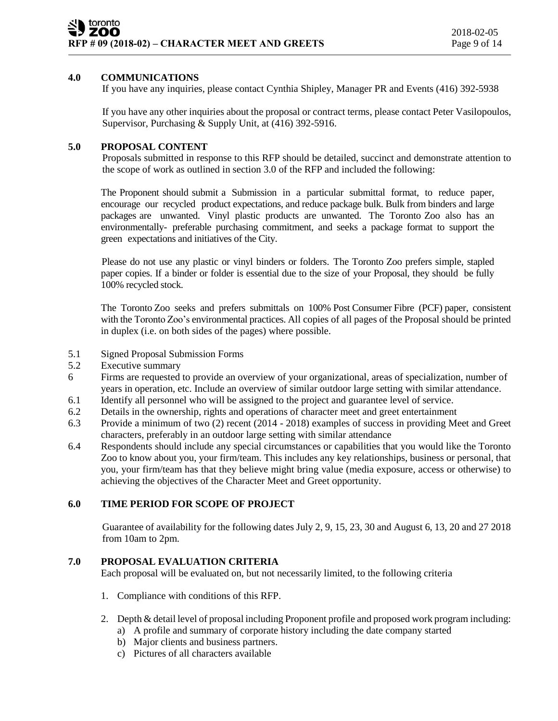# **4.0 COMMUNICATIONS**

If you have any inquiries, please contact Cynthia Shipley, Manager PR and Events (416) 392-5938

If you have any other inquiries about the proposal or contract terms, please contact Peter Vasilopoulos, Supervisor, Purchasing & Supply Unit, at (416) 392-5916.

# **5.0 PROPOSAL CONTENT**

Proposals submitted in response to this RFP should be detailed, succinct and demonstrate attention to the scope of work as outlined in section 3.0 of the RFP and included the following:

The Proponent should submit a Submission in a particular submittal format, to reduce paper, encourage our recycled product expectations, and reduce package bulk. Bulk from binders and large packages are unwanted. Vinyl plastic products are unwanted. The Toronto Zoo also has an environmentally- preferable purchasing commitment, and seeks a package format to support the green expectations and initiatives of the City.

Please do not use any plastic or vinyl binders or folders. The Toronto Zoo prefers simple, stapled paper copies. If a binder or folder is essential due to the size of your Proposal, they should be fully 100% recycled stock.

The Toronto Zoo seeks and prefers submittals on 100% Post Consumer Fibre (PCF) paper, consistent with the Toronto Zoo's environmental practices. All copies of all pages of the Proposal should be printed in duplex (i.e. on both sides of the pages) where possible.

- 5.1 Signed Proposal Submission Forms
- 5.2 Executive summary
- 6 Firms are requested to provide an overview of your organizational, areas of specialization, number of years in operation, etc. Include an overview of similar outdoor large setting with similar attendance.
- 6.1 Identify all personnel who will be assigned to the project and guarantee level of service.
- 6.2 Details in the ownership, rights and operations of character meet and greet entertainment
- 6.3 Provide a minimum of two (2) recent (2014 2018) examples of success in providing Meet and Greet characters, preferably in an outdoor large setting with similar attendance
- 6.4 Respondents should include any special circumstances or capabilities that you would like the Toronto Zoo to know about you, your firm/team. This includes any key relationships, business or personal, that you, your firm/team has that they believe might bring value (media exposure, access or otherwise) to achieving the objectives of the Character Meet and Greet opportunity.

# **6.0 TIME PERIOD FOR SCOPE OF PROJECT**

Guarantee of availability for the following dates July 2, 9, 15, 23, 30 and August 6, 13, 20 and 27 2018 from 10am to 2pm.

# **7.0 PROPOSAL EVALUATION CRITERIA**

Each proposal will be evaluated on, but not necessarily limited, to the following criteria

- 1. Compliance with conditions of this RFP.
- 2. Depth & detail level of proposal including Proponent profile and proposed work program including:
	- a) A profile and summary of corporate history including the date company started
	- b) Major clients and business partners.
	- c) Pictures of all characters available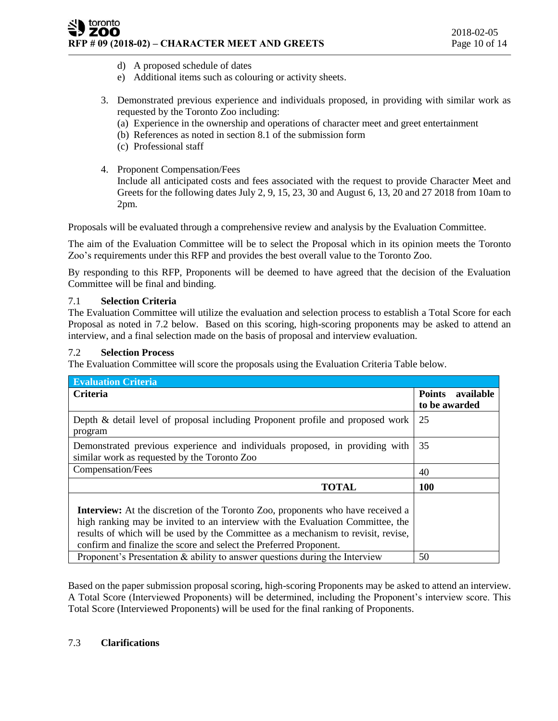## toronto ZOO **RFP # 09 (2018-02) – CHARACTER MEET AND GREETS** Page 10 of 14

- d) A proposed schedule of dates
- e) Additional items such as colouring or activity sheets.
- 3. Demonstrated previous experience and individuals proposed, in providing with similar work as requested by the Toronto Zoo including:
	- (a) Experience in the ownership and operations of character meet and greet entertainment
	- (b) References as noted in section 8.1 of the submission form
	- (c) Professional staff
- 4. Proponent Compensation/Fees

Include all anticipated costs and fees associated with the request to provide Character Meet and Greets for the following dates July 2, 9, 15, 23, 30 and August 6, 13, 20 and 27 2018 from 10am to 2pm.

Proposals will be evaluated through a comprehensive review and analysis by the Evaluation Committee.

The aim of the Evaluation Committee will be to select the Proposal which in its opinion meets the Toronto Zoo's requirements under this RFP and provides the best overall value to the Toronto Zoo.

By responding to this RFP, Proponents will be deemed to have agreed that the decision of the Evaluation Committee will be final and binding.

# 7.1 **Selection Criteria**

The Evaluation Committee will utilize the evaluation and selection process to establish a Total Score for each Proposal as noted in 7.2 below. Based on this scoring, high-scoring proponents may be asked to attend an interview, and a final selection made on the basis of proposal and interview evaluation.

# 7.2 **Selection Process**

The Evaluation Committee will score the proposals using the Evaluation Criteria Table below.

| <b>Evaluation Criteria</b>                                                                                                                                                                                                                                                                                                          |                            |
|-------------------------------------------------------------------------------------------------------------------------------------------------------------------------------------------------------------------------------------------------------------------------------------------------------------------------------------|----------------------------|
| <b>Criteria</b>                                                                                                                                                                                                                                                                                                                     | <b>Points</b><br>available |
|                                                                                                                                                                                                                                                                                                                                     | to be awarded              |
| Depth & detail level of proposal including Proponent profile and proposed work<br>program                                                                                                                                                                                                                                           | 25                         |
| Demonstrated previous experience and individuals proposed, in providing with<br>similar work as requested by the Toronto Zoo                                                                                                                                                                                                        | 35                         |
| Compensation/Fees                                                                                                                                                                                                                                                                                                                   | 40                         |
| <b>TOTAL</b>                                                                                                                                                                                                                                                                                                                        | <b>100</b>                 |
| <b>Interview:</b> At the discretion of the Toronto Zoo, proponents who have received a<br>high ranking may be invited to an interview with the Evaluation Committee, the<br>results of which will be used by the Committee as a mechanism to revisit, revise,<br>confirm and finalize the score and select the Preferred Proponent. |                            |
| Proponent's Presentation $\&$ ability to answer questions during the Interview                                                                                                                                                                                                                                                      | 50                         |

Based on the paper submission proposal scoring, high-scoring Proponents may be asked to attend an interview. A Total Score (Interviewed Proponents) will be determined, including the Proponent's interview score. This Total Score (Interviewed Proponents) will be used for the final ranking of Proponents.

# 7.3 **Clarifications**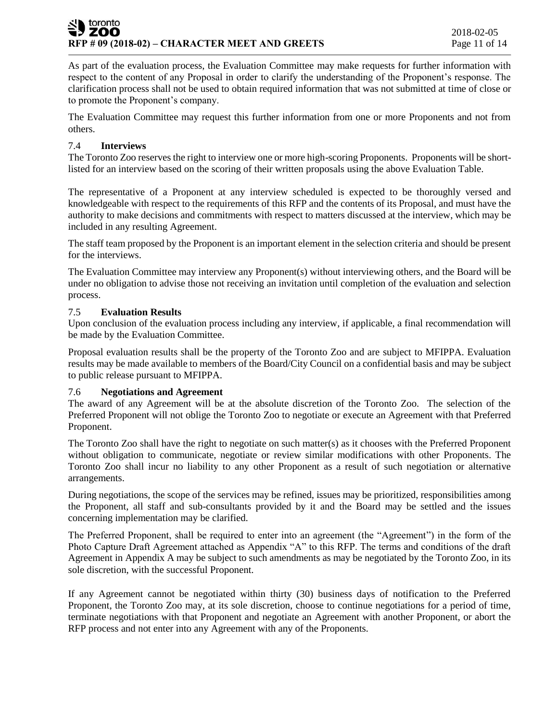As part of the evaluation process, the Evaluation Committee may make requests for further information with respect to the content of any Proposal in order to clarify the understanding of the Proponent's response. The clarification process shall not be used to obtain required information that was not submitted at time of close or to promote the Proponent's company.

The Evaluation Committee may request this further information from one or more Proponents and not from others.

# 7.4 **Interviews**

The Toronto Zoo reserves the right to interview one or more high-scoring Proponents. Proponents will be shortlisted for an interview based on the scoring of their written proposals using the above Evaluation Table.

The representative of a Proponent at any interview scheduled is expected to be thoroughly versed and knowledgeable with respect to the requirements of this RFP and the contents of its Proposal, and must have the authority to make decisions and commitments with respect to matters discussed at the interview, which may be included in any resulting Agreement.

The staff team proposed by the Proponent is an important element in the selection criteria and should be present for the interviews.

The Evaluation Committee may interview any Proponent(s) without interviewing others, and the Board will be under no obligation to advise those not receiving an invitation until completion of the evaluation and selection process.

## 7.5 **Evaluation Results**

Upon conclusion of the evaluation process including any interview, if applicable, a final recommendation will be made by the Evaluation Committee.

Proposal evaluation results shall be the property of the Toronto Zoo and are subject to MFIPPA. Evaluation results may be made available to members of the Board/City Council on a confidential basis and may be subject to public release pursuant to MFIPPA.

#### 7.6 **Negotiations and Agreement**

The award of any Agreement will be at the absolute discretion of the Toronto Zoo. The selection of the Preferred Proponent will not oblige the Toronto Zoo to negotiate or execute an Agreement with that Preferred Proponent.

The Toronto Zoo shall have the right to negotiate on such matter(s) as it chooses with the Preferred Proponent without obligation to communicate, negotiate or review similar modifications with other Proponents. The Toronto Zoo shall incur no liability to any other Proponent as a result of such negotiation or alternative arrangements.

During negotiations, the scope of the services may be refined, issues may be prioritized, responsibilities among the Proponent, all staff and sub-consultants provided by it and the Board may be settled and the issues concerning implementation may be clarified.

The Preferred Proponent, shall be required to enter into an agreement (the "Agreement") in the form of the Photo Capture Draft Agreement attached as Appendix "A" to this RFP. The terms and conditions of the draft Agreement in Appendix A may be subject to such amendments as may be negotiated by the Toronto Zoo, in its sole discretion, with the successful Proponent.

If any Agreement cannot be negotiated within thirty (30) business days of notification to the Preferred Proponent, the Toronto Zoo may, at its sole discretion, choose to continue negotiations for a period of time, terminate negotiations with that Proponent and negotiate an Agreement with another Proponent, or abort the RFP process and not enter into any Agreement with any of the Proponents.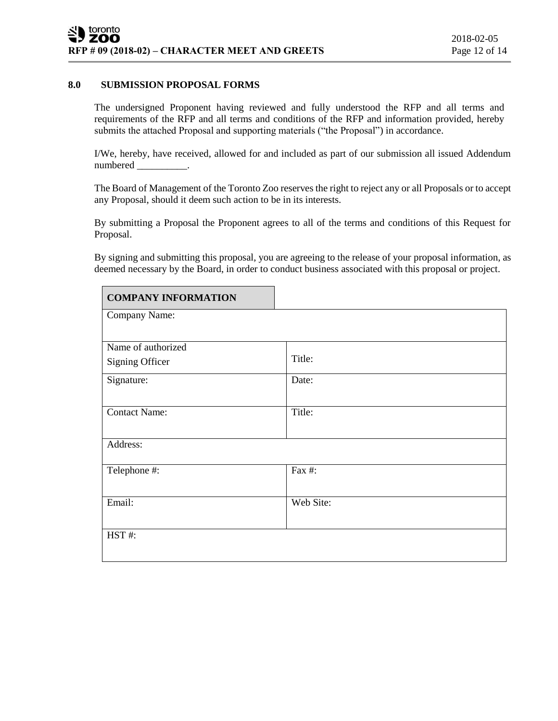## **8.0 SUBMISSION PROPOSAL FORMS**

The undersigned Proponent having reviewed and fully understood the RFP and all terms and requirements of the RFP and all terms and conditions of the RFP and information provided, hereby submits the attached Proposal and supporting materials ("the Proposal") in accordance.

I/We, hereby, have received, allowed for and included as part of our submission all issued Addendum numbered \_\_\_\_\_

The Board of Management of the Toronto Zoo reserves the right to reject any or all Proposals or to accept any Proposal, should it deem such action to be in its interests.

By submitting a Proposal the Proponent agrees to all of the terms and conditions of this Request for Proposal.

By signing and submitting this proposal, you are agreeing to the release of your proposal information, as deemed necessary by the Board, in order to conduct business associated with this proposal or project.

| <b>COMPANY INFORMATION</b> |           |  |  |
|----------------------------|-----------|--|--|
| Company Name:              |           |  |  |
|                            |           |  |  |
| Name of authorized         | Title:    |  |  |
| <b>Signing Officer</b>     |           |  |  |
| Signature:                 | Date:     |  |  |
|                            |           |  |  |
| <b>Contact Name:</b>       | Title:    |  |  |
|                            |           |  |  |
| Address:                   |           |  |  |
|                            |           |  |  |
| Telephone #:               | Fax #:    |  |  |
|                            |           |  |  |
| Email:                     | Web Site: |  |  |
|                            |           |  |  |
| HST#:                      |           |  |  |
|                            |           |  |  |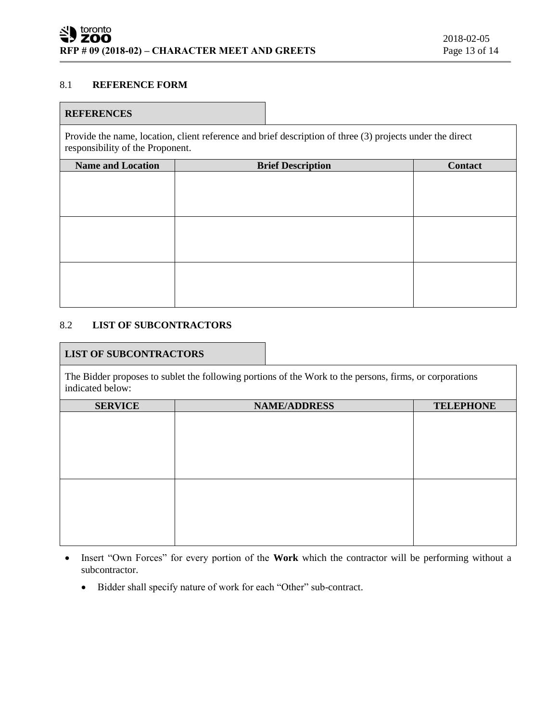## 8.1 **REFERENCE FORM**

## **REFERENCES**

Provide the name, location, client reference and brief description of three (3) projects under the direct responsibility of the Proponent.

| <b>Name and Location</b> | <b>Brief Description</b> | <b>Contact</b> |
|--------------------------|--------------------------|----------------|
|                          |                          |                |
|                          |                          |                |
|                          |                          |                |
|                          |                          |                |
|                          |                          |                |
|                          |                          |                |
|                          |                          |                |
|                          |                          |                |
|                          |                          |                |

# 8.2 **LIST OF SUBCONTRACTORS**

## **LIST OF SUBCONTRACTORS**

The Bidder proposes to sublet the following portions of the Work to the persons, firms, or corporations indicated below:

| <b>SERVICE</b> | <b>NAME/ADDRESS</b> | <b>TELEPHONE</b> |
|----------------|---------------------|------------------|
|                |                     |                  |
|                |                     |                  |
|                |                     |                  |
|                |                     |                  |
|                |                     |                  |
|                |                     |                  |
|                |                     |                  |
|                |                     |                  |
|                |                     |                  |
|                |                     |                  |
|                |                     |                  |
|                |                     |                  |

- Insert "Own Forces" for every portion of the **Work** which the contractor will be performing without a subcontractor.
	- Bidder shall specify nature of work for each "Other" sub-contract.